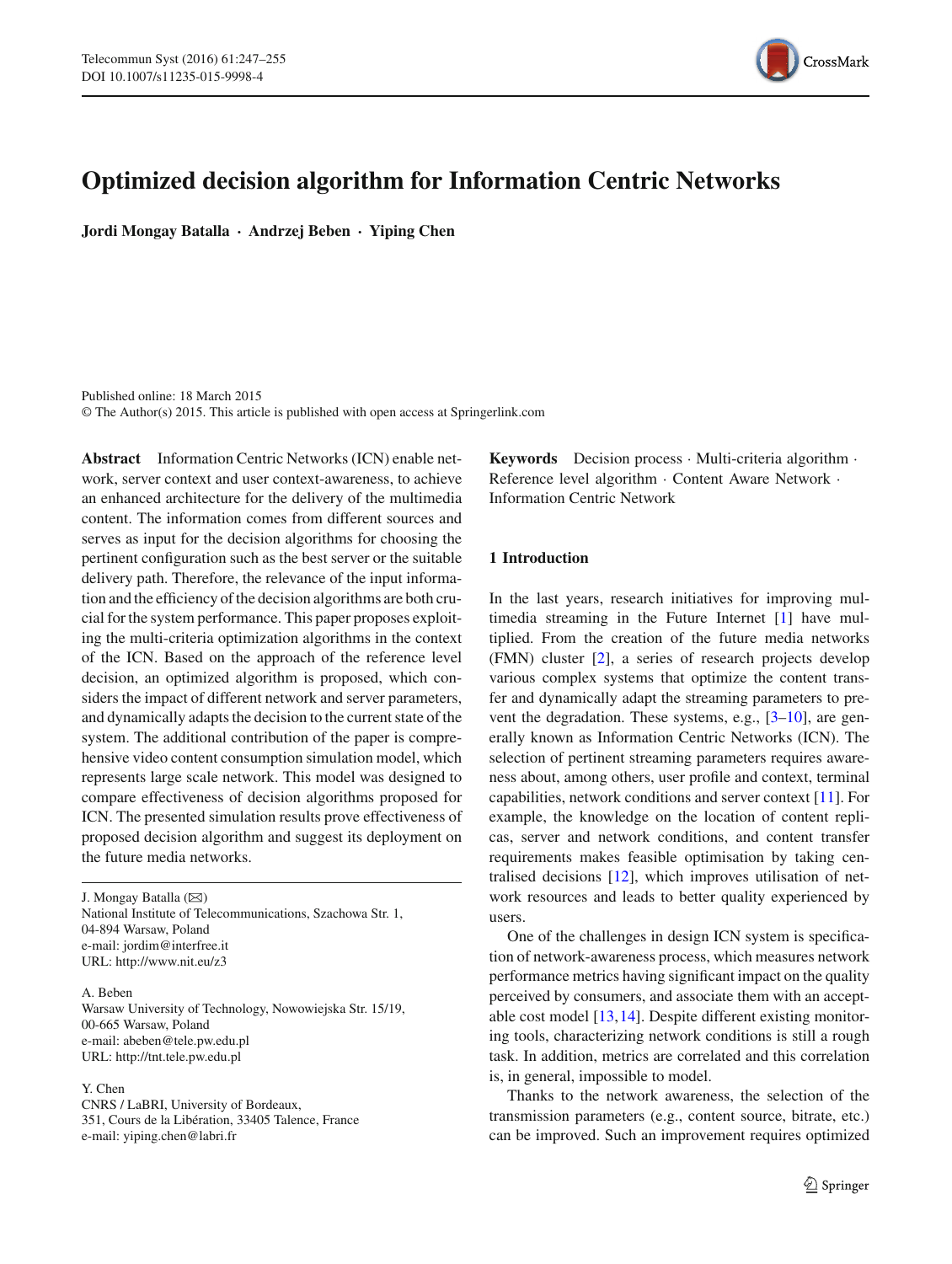

# **Optimized decision algorithm for Information Centric Networks**

**Jordi Mongay Batalla · Andrzej Beben · Yiping Chen**

Published online: 18 March 2015 © The Author(s) 2015. This article is published with open access at Springerlink.com

**Abstract** Information Centric Networks (ICN) enable network, server context and user context-awareness, to achieve an enhanced architecture for the delivery of the multimedia content. The information comes from different sources and serves as input for the decision algorithms for choosing the pertinent configuration such as the best server or the suitable delivery path. Therefore, the relevance of the input information and the efficiency of the decision algorithms are both crucial for the system performance. This paper proposes exploiting the multi-criteria optimization algorithms in the context of the ICN. Based on the approach of the reference level decision, an optimized algorithm is proposed, which considers the impact of different network and server parameters, and dynamically adapts the decision to the current state of the system. The additional contribution of the paper is comprehensive video content consumption simulation model, which represents large scale network. This model was designed to compare effectiveness of decision algorithms proposed for ICN. The presented simulation results prove effectiveness of proposed decision algorithm and suggest its deployment on the future media networks.

J. Mongay Batalla  $(\boxtimes)$ National Institute of Telecommunications, Szachowa Str. 1, 04-894 Warsaw, Poland e-mail: jordim@interfree.it URL: http://www.nit.eu/z3

A. Beben Warsaw University of Technology, Nowowiejska Str. 15/19, 00-665 Warsaw, Poland e-mail: abeben@tele.pw.edu.pl URL: http://tnt.tele.pw.edu.pl

#### Y. Chen

CNRS / LaBRI, University of Bordeaux, 351, Cours de la Libération, 33405 Talence, France e-mail: yiping.chen@labri.fr

**Keywords** Decision process · Multi-criteria algorithm · Reference level algorithm · Content Aware Network · Information Centric Network

# **1 Introduction**

In the last years, research initiatives for improving multimedia streaming in the Future Internet [\[1\]](#page-7-0) have multiplied. From the creation of the future media networks (FMN) cluster [\[2\]](#page-7-1), a series of research projects develop various complex systems that optimize the content transfer and dynamically adapt the streaming parameters to prevent the degradation. These systems, e.g., [\[3](#page-7-2)[–10](#page-7-3)], are generally known as Information Centric Networks (ICN). The selection of pertinent streaming parameters requires awareness about, among others, user profile and context, terminal capabilities, network conditions and server context [\[11\]](#page-7-4). For example, the knowledge on the location of content replicas, server and network conditions, and content transfer requirements makes feasible optimisation by taking centralised decisions [\[12\]](#page-7-5), which improves utilisation of network resources and leads to better quality experienced by users.

One of the challenges in design ICN system is specification of network-awareness process, which measures network performance metrics having significant impact on the quality perceived by consumers, and associate them with an acceptable cost model [\[13,](#page-7-6)[14\]](#page-7-7). Despite different existing monitoring tools, characterizing network conditions is still a rough task. In addition, metrics are correlated and this correlation is, in general, impossible to model.

Thanks to the network awareness, the selection of the transmission parameters (e.g., content source, bitrate, etc.) can be improved. Such an improvement requires optimized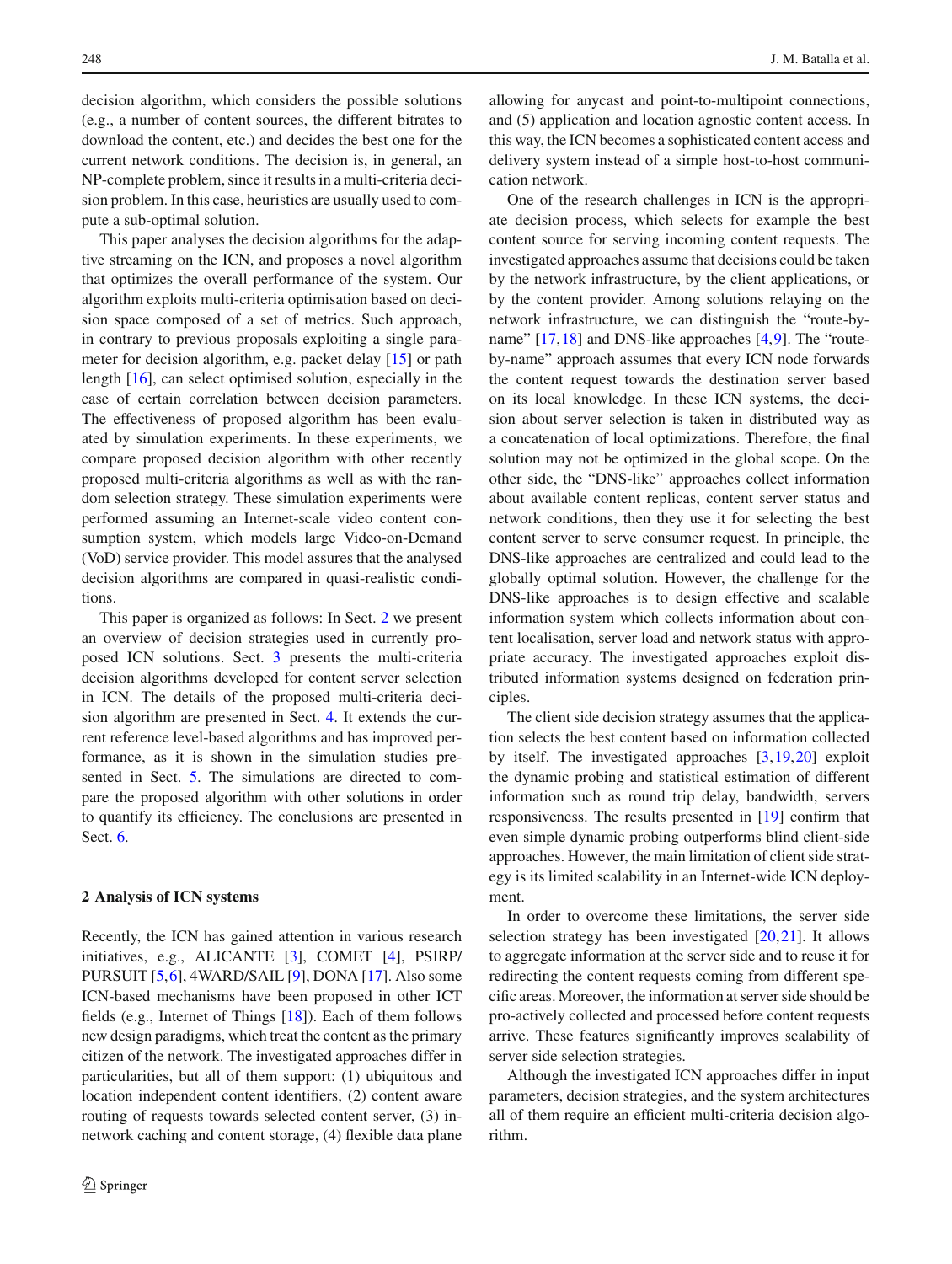decision algorithm, which considers the possible solutions (e.g., a number of content sources, the different bitrates to download the content, etc.) and decides the best one for the current network conditions. The decision is, in general, an NP-complete problem, since it results in a multi-criteria decision problem. In this case, heuristics are usually used to compute a sub-optimal solution.

This paper analyses the decision algorithms for the adaptive streaming on the ICN, and proposes a novel algorithm that optimizes the overall performance of the system. Our algorithm exploits multi-criteria optimisation based on decision space composed of a set of metrics. Such approach, in contrary to previous proposals exploiting a single parameter for decision algorithm, e.g. packet delay [\[15\]](#page-7-8) or path length [\[16](#page-7-9)], can select optimised solution, especially in the case of certain correlation between decision parameters. The effectiveness of proposed algorithm has been evaluated by simulation experiments. In these experiments, we compare proposed decision algorithm with other recently proposed multi-criteria algorithms as well as with the random selection strategy. These simulation experiments were performed assuming an Internet-scale video content consumption system, which models large Video-on-Demand (VoD) service provider. This model assures that the analysed decision algorithms are compared in quasi-realistic conditions.

This paper is organized as follows: In Sect. [2](#page-1-0) we present an overview of decision strategies used in currently proposed ICN solutions. Sect. [3](#page-2-0) presents the multi-criteria decision algorithms developed for content server selection in ICN. The details of the proposed multi-criteria decision algorithm are presented in Sect. [4.](#page-3-0) It extends the current reference level-based algorithms and has improved performance, as it is shown in the simulation studies presented in Sect. [5.](#page-4-0) The simulations are directed to compare the proposed algorithm with other solutions in order to quantify its efficiency. The conclusions are presented in Sect. [6.](#page-6-0)

## <span id="page-1-0"></span>**2 Analysis of ICN systems**

Recently, the ICN has gained attention in various research initiatives, e.g., ALICANTE [\[3](#page-7-2)], COMET [\[4\]](#page-7-10), PSIRP/ PURSUIT [\[5](#page-7-11)[,6](#page-7-12)], 4WARD/SAIL [\[9](#page-7-13)], DONA [\[17\]](#page-7-14). Also some ICN-based mechanisms have been proposed in other ICT fields (e.g., Internet of Things [\[18](#page-7-15)]). Each of them follows new design paradigms, which treat the content as the primary citizen of the network. The investigated approaches differ in particularities, but all of them support: (1) ubiquitous and location independent content identifiers, (2) content aware routing of requests towards selected content server, (3) innetwork caching and content storage, (4) flexible data plane allowing for anycast and point-to-multipoint connections, and (5) application and location agnostic content access. In this way, the ICN becomes a sophisticated content access and delivery system instead of a simple host-to-host communication network.

One of the research challenges in ICN is the appropriate decision process, which selects for example the best content source for serving incoming content requests. The investigated approaches assume that decisions could be taken by the network infrastructure, by the client applications, or by the content provider. Among solutions relaying on the network infrastructure, we can distinguish the "route-by-name" [\[17](#page-7-14)[,18](#page-7-15)] and DNS-like approaches [\[4](#page-7-10)[,9](#page-7-13)]. The "routeby-name" approach assumes that every ICN node forwards the content request towards the destination server based on its local knowledge. In these ICN systems, the decision about server selection is taken in distributed way as a concatenation of local optimizations. Therefore, the final solution may not be optimized in the global scope. On the other side, the "DNS-like" approaches collect information about available content replicas, content server status and network conditions, then they use it for selecting the best content server to serve consumer request. In principle, the DNS-like approaches are centralized and could lead to the globally optimal solution. However, the challenge for the DNS-like approaches is to design effective and scalable information system which collects information about content localisation, server load and network status with appropriate accuracy. The investigated approaches exploit distributed information systems designed on federation principles.

The client side decision strategy assumes that the application selects the best content based on information collected by itself. The investigated approaches [\[3,](#page-7-2)[19](#page-7-16)[,20](#page-7-17)] exploit the dynamic probing and statistical estimation of different information such as round trip delay, bandwidth, servers responsiveness. The results presented in [\[19\]](#page-7-16) confirm that even simple dynamic probing outperforms blind client-side approaches. However, the main limitation of client side strategy is its limited scalability in an Internet-wide ICN deployment.

In order to overcome these limitations, the server side selection strategy has been investigated [\[20,](#page-7-17)[21\]](#page-7-18). It allows to aggregate information at the server side and to reuse it for redirecting the content requests coming from different specific areas. Moreover, the information at server side should be pro-actively collected and processed before content requests arrive. These features significantly improves scalability of server side selection strategies.

Although the investigated ICN approaches differ in input parameters, decision strategies, and the system architectures all of them require an efficient multi-criteria decision algorithm.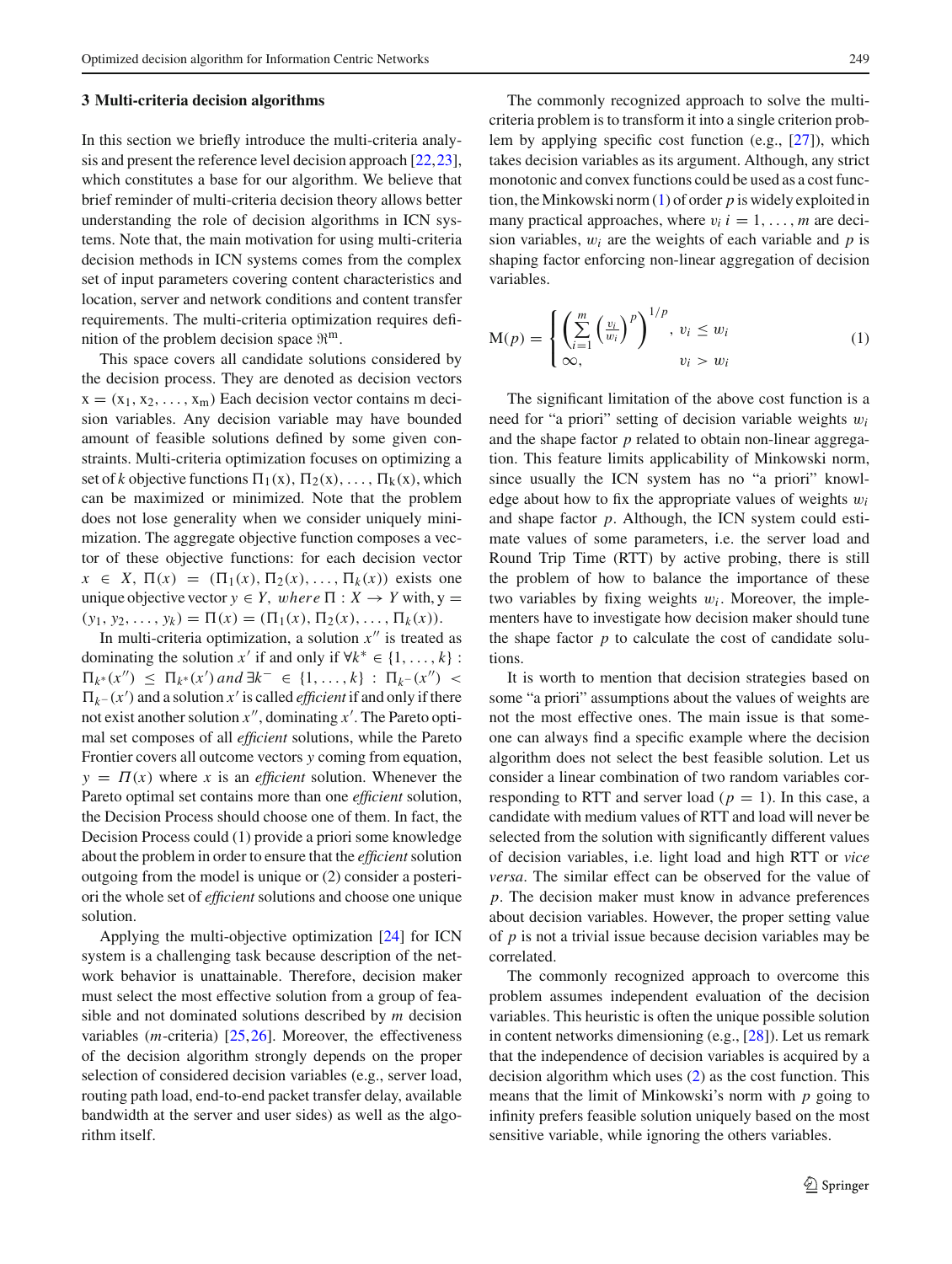#### <span id="page-2-0"></span>**3 Multi-criteria decision algorithms**

In this section we briefly introduce the multi-criteria analysis and present the reference level decision approach [\[22](#page-7-19)[,23](#page-7-20)], which constitutes a base for our algorithm. We believe that brief reminder of multi-criteria decision theory allows better understanding the role of decision algorithms in ICN systems. Note that, the main motivation for using multi-criteria decision methods in ICN systems comes from the complex set of input parameters covering content characteristics and location, server and network conditions and content transfer requirements. The multi-criteria optimization requires definition of the problem decision space  $\mathfrak{R}^m$ .

This space covers all candidate solutions considered by the decision process. They are denoted as decision vectors  $x = (x_1, x_2, \ldots, x_m)$  Each decision vector contains m decision variables. Any decision variable may have bounded amount of feasible solutions defined by some given constraints. Multi-criteria optimization focuses on optimizing a set of *k* objective functions  $\Pi_1(x)$ ,  $\Pi_2(x)$ , ...,  $\Pi_k(x)$ , which can be maximized or minimized. Note that the problem does not lose generality when we consider uniquely minimization. The aggregate objective function composes a vector of these objective functions: for each decision vector  $x \in X$ ,  $\Pi(x) = (\Pi_1(x), \Pi_2(x), \dots, \Pi_k(x))$  exists one unique objective vector  $y \in Y$ , where  $\Pi : X \to Y$  with,  $y =$  $(y_1, y_2, \ldots, y_k) = \Pi(x) = (\Pi_1(x), \Pi_2(x), \ldots, \Pi_k(x)).$ 

In multi-criteria optimization, a solution  $x''$  is treated as dominating the solution  $x'$  if and only if  $\forall k^* \in \{1, \ldots, k\}$ :  $\Pi_{k^*}(x'')$  ≤  $\Pi_{k^*}(x')$  *and* ∃ $k^-$  ∈ {1, ...,  $k$ } :  $\Pi_{k^-}(x'')$  <  $\Pi_{k}$ −(*x*') and a solution *x*' is called *efficient* if and only if there not exist another solution x'', dominating x'. The Pareto optimal set composes of all *efficient* solutions, while the Pareto Frontier covers all outcome vectors *y* coming from equation,  $y = \Pi(x)$  where *x* is an *efficient* solution. Whenever the Pareto optimal set contains more than one *efficient* solution, the Decision Process should choose one of them. In fact, the Decision Process could (1) provide a priori some knowledge about the problem in order to ensure that the *efficient*solution outgoing from the model is unique or (2) consider a posteriori the whole set of *efficient* solutions and choose one unique solution.

Applying the multi-objective optimization [\[24](#page-7-21)] for ICN system is a challenging task because description of the network behavior is unattainable. Therefore, decision maker must select the most effective solution from a group of feasible and not dominated solutions described by *m* decision variables (*m*-criteria) [\[25](#page-7-22)[,26](#page-7-23)]. Moreover, the effectiveness of the decision algorithm strongly depends on the proper selection of considered decision variables (e.g., server load, routing path load, end-to-end packet transfer delay, available bandwidth at the server and user sides) as well as the algorithm itself.

The commonly recognized approach to solve the multicriteria problem is to transform it into a single criterion problem by applying specific cost function (e.g., [\[27\]](#page-7-24)), which takes decision variables as its argument. Although, any strict monotonic and convex functions could be used as a cost function, theMinkowski norm [\(1\)](#page-2-1) of order *p* is widely exploited in many practical approaches, where  $v_i$   $i = 1, \ldots, m$  are decision variables, w*<sup>i</sup>* are the weights of each variable and *p* is shaping factor enforcing non-linear aggregation of decision variables.

<span id="page-2-1"></span>
$$
\mathbf{M}(p) = \begin{cases} \left(\sum_{i=1}^{m} \left(\frac{v_i}{w_i}\right)^p\right)^{1/p}, & v_i \leq w_i\\ \infty, & v_i > w_i \end{cases} \tag{1}
$$

The significant limitation of the above cost function is a need for "a priori" setting of decision variable weights w*i* and the shape factor *p* related to obtain non-linear aggregation. This feature limits applicability of Minkowski norm, since usually the ICN system has no "a priori" knowledge about how to fix the appropriate values of weights w*i* and shape factor *p*. Although, the ICN system could estimate values of some parameters, i.e. the server load and Round Trip Time (RTT) by active probing, there is still the problem of how to balance the importance of these two variables by fixing weights  $w_i$ . Moreover, the implementers have to investigate how decision maker should tune the shape factor *p* to calculate the cost of candidate solutions.

It is worth to mention that decision strategies based on some "a priori" assumptions about the values of weights are not the most effective ones. The main issue is that someone can always find a specific example where the decision algorithm does not select the best feasible solution. Let us consider a linear combination of two random variables corresponding to RTT and server load ( $p = 1$ ). In this case, a candidate with medium values of RTT and load will never be selected from the solution with significantly different values of decision variables, i.e. light load and high RTT or *vice versa*. The similar effect can be observed for the value of *p*. The decision maker must know in advance preferences about decision variables. However, the proper setting value of *p* is not a trivial issue because decision variables may be correlated.

The commonly recognized approach to overcome this problem assumes independent evaluation of the decision variables. This heuristic is often the unique possible solution in content networks dimensioning (e.g., [\[28](#page-7-25)]). Let us remark that the independence of decision variables is acquired by a decision algorithm which uses [\(2\)](#page-3-1) as the cost function. This means that the limit of Minkowski's norm with *p* going to infinity prefers feasible solution uniquely based on the most sensitive variable, while ignoring the others variables.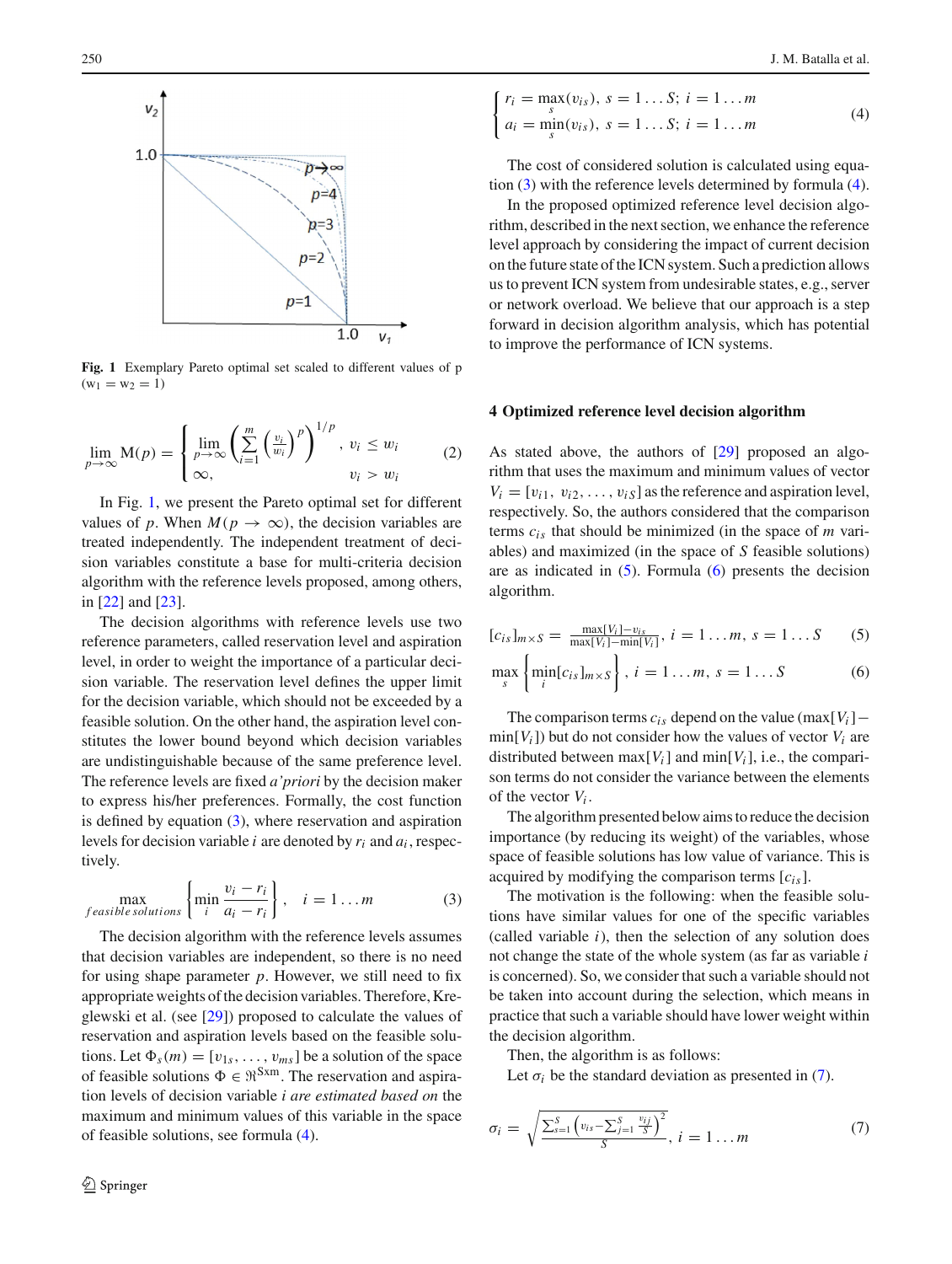

<span id="page-3-2"></span>**Fig. 1** Exemplary Pareto optimal set scaled to different values of p  $(w_1 = w_2 = 1)$ 

<span id="page-3-1"></span>
$$
\lim_{p \to \infty} \mathbf{M}(p) = \begin{cases} \lim_{p \to \infty} \left( \sum_{i=1}^{m} \left( \frac{v_i}{w_i} \right)^p \right)^{1/p}, & v_i \le w_i \\ \infty, & v_i > w_i \end{cases}
$$
 (2)

In Fig. [1,](#page-3-2) we present the Pareto optimal set for different values of *p*. When  $M(p \to \infty)$ , the decision variables are treated independently. The independent treatment of decision variables constitute a base for multi-criteria decision algorithm with the reference levels proposed, among others, in [\[22\]](#page-7-19) and [\[23\]](#page-7-20).

The decision algorithms with reference levels use two reference parameters, called reservation level and aspiration level, in order to weight the importance of a particular decision variable. The reservation level defines the upper limit for the decision variable, which should not be exceeded by a feasible solution. On the other hand, the aspiration level constitutes the lower bound beyond which decision variables are undistinguishable because of the same preference level. The reference levels are fixed *a'priori* by the decision maker to express his/her preferences. Formally, the cost function is defined by equation  $(3)$ , where reservation and aspiration levels for decision variable *i* are denoted by *ri* and *ai* , respectively.

<span id="page-3-3"></span>
$$
\max_{feasible solutions} \left\{ \min_{i} \frac{v_i - r_i}{a_i - r_i} \right\}, \quad i = 1...m \tag{3}
$$

The decision algorithm with the reference levels assumes that decision variables are independent, so there is no need for using shape parameter *p*. However, we still need to fix appropriate weights of the decision variables. Therefore, Kreglewski et al. (see [\[29\]](#page-7-26)) proposed to calculate the values of reservation and aspiration levels based on the feasible solutions. Let  $\Phi_s(m) = [v_{1s}, \ldots, v_{ms}]$  be a solution of the space of feasible solutions  $\Phi \in \mathbb{R}^{S_x m}$ . The reservation and aspiration levels of decision variable *i are estimated based on* the maximum and minimum values of this variable in the space of feasible solutions, see formula [\(4\)](#page-3-4).

<sup>2</sup> Springer

<span id="page-3-4"></span>
$$
\begin{cases}\nr_i = \max_{s} (v_{is}), \, s = 1 \dots S; \, i = 1 \dots m \\
a_i = \min_{s} (v_{is}), \, s = 1 \dots S; \, i = 1 \dots m\n\end{cases} \tag{4}
$$

The cost of considered solution is calculated using equation [\(3\)](#page-3-3) with the reference levels determined by formula [\(4\)](#page-3-4).

In the proposed optimized reference level decision algorithm, described in the next section, we enhance the reference level approach by considering the impact of current decision on the future state of the ICN system. Such a prediction allows us to prevent ICN system from undesirable states, e.g., server or network overload. We believe that our approach is a step forward in decision algorithm analysis, which has potential to improve the performance of ICN systems.

#### <span id="page-3-0"></span>**4 Optimized reference level decision algorithm**

As stated above, the authors of [\[29\]](#page-7-26) proposed an algorithm that uses the maximum and minimum values of vector  $V_i = [v_{i1}, v_{i2}, \ldots, v_{iS}]$  as the reference and aspiration level, respectively. So, the authors considered that the comparison terms *cis* that should be minimized (in the space of *m* variables) and maximized (in the space of *S* feasible solutions) are as indicated in  $(5)$ . Formula  $(6)$  presents the decision algorithm.

<span id="page-3-5"></span>
$$
[c_{is}]_{m \times S} = \frac{\max[V_i] - v_{is}}{\max[V_i] - \min[V_i]}, \ i = 1 \dots m, \ s = 1 \dots S \qquad (5)
$$

$$
\max_{s} \left\{ \min_{i} [c_{is}]_{m \times S} \right\}, i = 1 \dots m, s = 1 \dots S \tag{6}
$$

The comparison terms  $c_{is}$  depend on the value (max[ $V_i$ ] –  $min[V_i]$ ) but do not consider how the values of vector  $V_i$  are distributed between  $\max[V_i]$  and  $\min[V_i]$ , i.e., the comparison terms do not consider the variance between the elements of the vector *Vi* .

The algorithm presented below aims to reduce the decision importance (by reducing its weight) of the variables, whose space of feasible solutions has low value of variance. This is acquired by modifying the comparison terms [*cis*].

The motivation is the following: when the feasible solutions have similar values for one of the specific variables (called variable *i*), then the selection of any solution does not change the state of the whole system (as far as variable *i* is concerned). So, we consider that such a variable should not be taken into account during the selection, which means in practice that such a variable should have lower weight within the decision algorithm.

Then, the algorithm is as follows:

Let  $\sigma_i$  be the standard deviation as presented in [\(7\)](#page-3-6).

<span id="page-3-6"></span>
$$
\sigma_i = \sqrt{\frac{\sum_{s=1}^{S} (v_{is} - \sum_{j=1}^{S} \frac{v_{ij}}{S})^2}{S}}, \, i = 1 \dots m \tag{7}
$$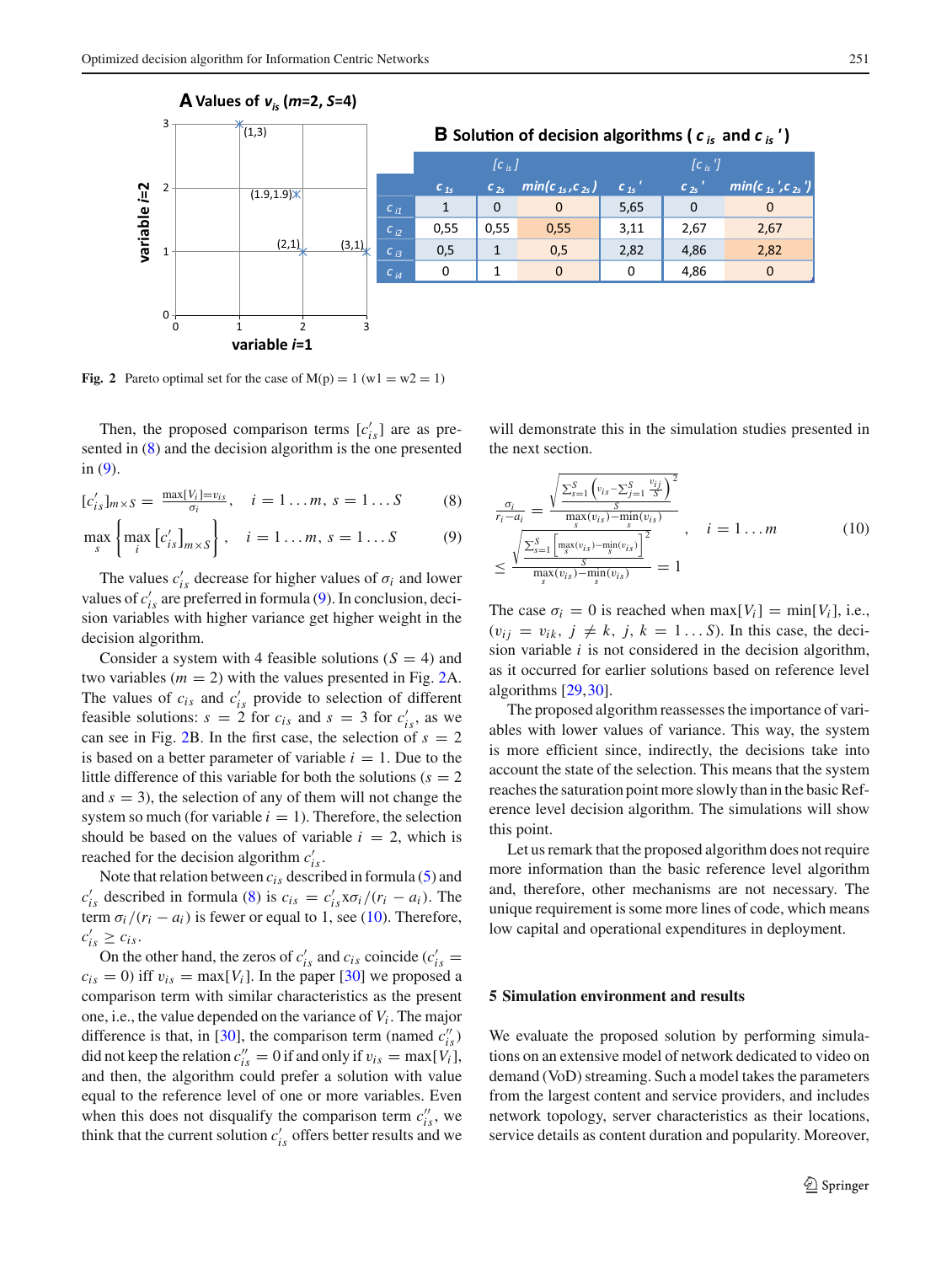

<span id="page-4-2"></span>**Fig. 2** Pareto optimal set for the case of  $M(p) = 1$  (w1 = w2 = 1)

Then, the proposed comparison terms  $[c'_{is}]$  are as presented in [\(8\)](#page-4-1) and the decision algorithm is the one presented in [\(9\)](#page-4-1).

<span id="page-4-1"></span> $[c'_{is}]_{m \times S} = \frac{\max[V_i] = v_{is}}{\sigma_i}, \quad i = 1 ... m, s = 1 ... S$  (8)

$$
\max_{s} \left\{ \max_{i} \left[ c'_{is} \right]_{m \times S} \right\}, \quad i = 1 \dots m, \, s = 1 \dots S \tag{9}
$$

The values  $c'_{is}$  decrease for higher values of  $\sigma_i$  and lower values of  $c'_{is}$  are preferred in formula [\(9\)](#page-4-1). In conclusion, decision variables with higher variance get higher weight in the decision algorithm.

Consider a system with 4 feasible solutions  $(S = 4)$  and two variables  $(m = 2)$  with the values presented in Fig. [2A](#page-4-2). The values of  $c_{is}$  and  $c'_{is}$  provide to selection of different feasible solutions:  $s = 2$  for  $c_{is}$  and  $s = 3$  for  $c'_{is}$ , as we can see in Fig. [2B](#page-4-2). In the first case, the selection of  $s = 2$ is based on a better parameter of variable  $i = 1$ . Due to the little difference of this variable for both the solutions  $(s = 2)$ and  $s = 3$ ), the selection of any of them will not change the system so much (for variable  $i = 1$ ). Therefore, the selection should be based on the values of variable  $i = 2$ , which is reached for the decision algorithm *c is*.

Note that relation between *cis* described in formula [\(5\)](#page-3-5) and  $c'_{is}$  described in formula [\(8\)](#page-4-1) is  $c_{is} = c'_{is} \pi \sigma_i / (r_i - a_i)$ . The term  $\sigma_i/(r_i - a_i)$  is fewer or equal to 1, see [\(10\)](#page-4-3). Therefore,  $c'_{is} \geq c_{is}.$ 

On the other hand, the zeros of  $c'_{is}$  and  $c_{is}$  coincide ( $c'_{is}$  =  $c_{is} = 0$ ) iff  $v_{is} = \max[V_i]$ . In the paper [\[30\]](#page-7-27) we proposed a comparison term with similar characteristics as the present one, i.e., the value depended on the variance of *Vi* . The major difference is that, in [\[30\]](#page-7-27), the comparison term (named  $c_{is}''$ ) did not keep the relation  $c_{is}'' = 0$  if and only if  $v_{is} = \max[V_i]$ , and then, the algorithm could prefer a solution with value equal to the reference level of one or more variables. Even when this does not disqualify the comparison term  $c''_{is}$ , we think that the current solution  $c'_{is}$  offers better results and we

will demonstrate this in the simulation studies presented in the next section.

<span id="page-4-3"></span>
$$
\frac{\sigma_i}{r_i - a_i} = \frac{\sqrt{\frac{\sum_{s=1}^S (v_{is} - \sum_{j=1}^S \frac{v_{ij}}{S})^2}{s}}}{\frac{\max(v_{is}) - \min(v_{is})}{s}}}{\sqrt{\frac{\sum_{s=1}^S \left[\max(v_{is}) - \min(v_{is})\right]^2}{s}}}, \quad i = 1...m
$$
\n
$$
\leq \frac{\sqrt{\frac{\sum_{s=1}^S \left[\max(v_{is}) - \min(v_{is})\right]^2}{s}}}{\frac{S}{\max(v_{is}) - \min(v_{is})}} = 1
$$
\n(10)

The case  $\sigma_i = 0$  is reached when  $max[V_i] = min[V_i]$ , i.e.,  $(v_{ij} = v_{ik}, j \neq k, j, k = 1... S)$ . In this case, the decision variable *i* is not considered in the decision algorithm, as it occurred for earlier solutions based on reference level algorithms [\[29,](#page-7-26)[30\]](#page-7-27).

The proposed algorithm reassesses the importance of variables with lower values of variance. This way, the system is more efficient since, indirectly, the decisions take into account the state of the selection. This means that the system reaches the saturation point more slowly than in the basic Reference level decision algorithm. The simulations will show this point.

Let us remark that the proposed algorithm does not require more information than the basic reference level algorithm and, therefore, other mechanisms are not necessary. The unique requirement is some more lines of code, which means low capital and operational expenditures in deployment.

#### <span id="page-4-0"></span>**5 Simulation environment and results**

We evaluate the proposed solution by performing simulations on an extensive model of network dedicated to video on demand (VoD) streaming. Such a model takes the parameters from the largest content and service providers, and includes network topology, server characteristics as their locations, service details as content duration and popularity. Moreover,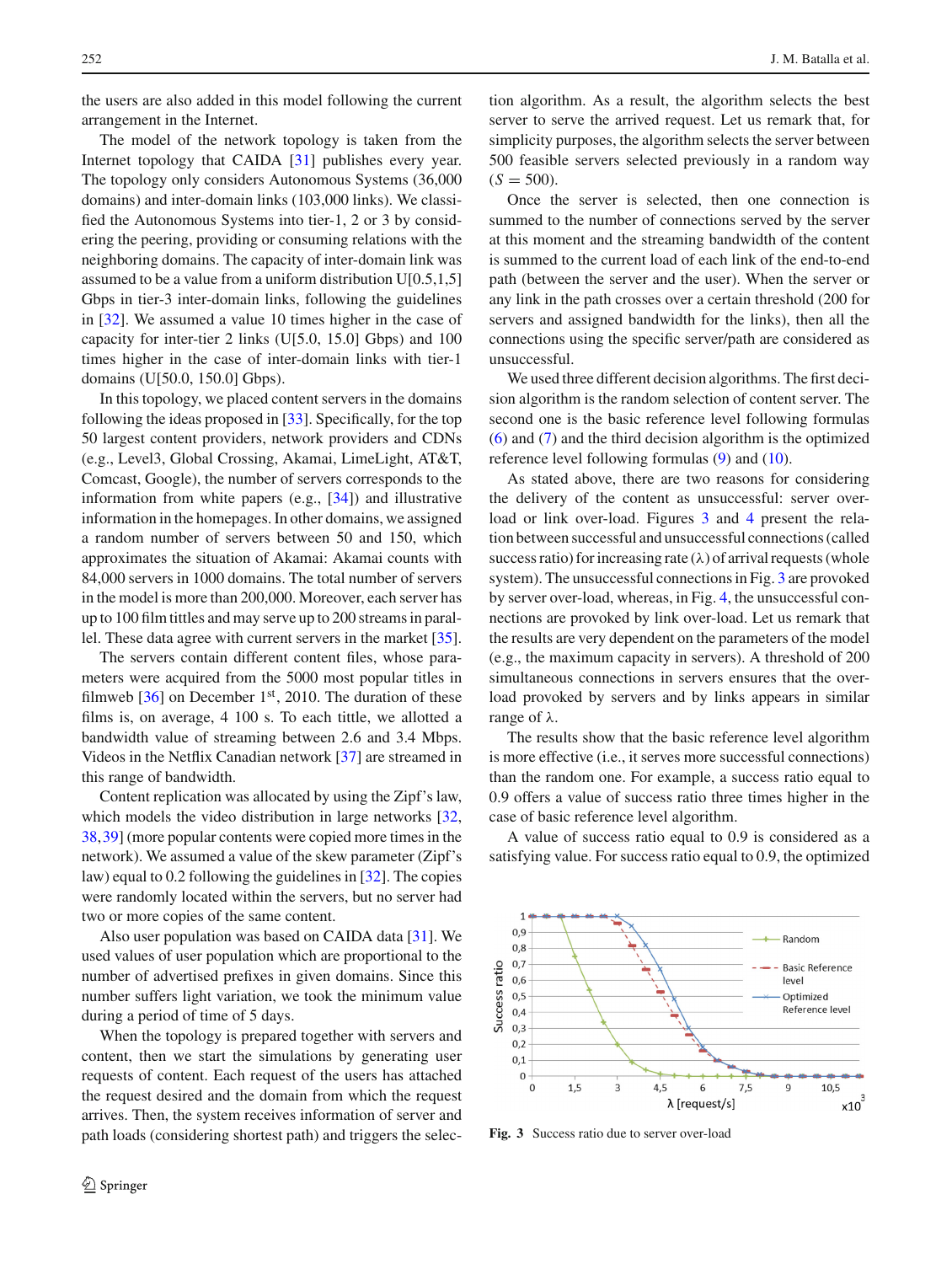the users are also added in this model following the current arrangement in the Internet.

The model of the network topology is taken from the Internet topology that CAIDA [\[31](#page-8-0)] publishes every year. The topology only considers Autonomous Systems (36,000 domains) and inter-domain links (103,000 links). We classified the Autonomous Systems into tier-1, 2 or 3 by considering the peering, providing or consuming relations with the neighboring domains. The capacity of inter-domain link was assumed to be a value from a uniform distribution U[0.5,1,5] Gbps in tier-3 inter-domain links, following the guidelines in [\[32](#page-8-1)]. We assumed a value 10 times higher in the case of capacity for inter-tier 2 links (U[5.0, 15.0] Gbps) and 100 times higher in the case of inter-domain links with tier-1 domains (U[50.0, 150.0] Gbps).

In this topology, we placed content servers in the domains following the ideas proposed in [\[33\]](#page-8-2). Specifically, for the top 50 largest content providers, network providers and CDNs (e.g., Level3, Global Crossing, Akamai, LimeLight, AT&T, Comcast, Google), the number of servers corresponds to the information from white papers (e.g., [\[34](#page-8-3)]) and illustrative information in the homepages. In other domains, we assigned a random number of servers between 50 and 150, which approximates the situation of Akamai: Akamai counts with 84,000 servers in 1000 domains. The total number of servers in the model is more than 200,000. Moreover, each server has up to 100 film tittles and may serve up to 200 streams in parallel. These data agree with current servers in the market [\[35](#page-8-4)].

The servers contain different content files, whose parameters were acquired from the 5000 most popular titles in filmweb  $[36]$  on December  $1<sup>st</sup>$ , 2010. The duration of these films is, on average, 4 100 s. To each tittle, we allotted a bandwidth value of streaming between 2.6 and 3.4 Mbps. Videos in the Netflix Canadian network [\[37](#page-8-6)] are streamed in this range of bandwidth.

Content replication was allocated by using the Zipf's law, which models the video distribution in large networks [\[32,](#page-8-1) [38](#page-8-7)[,39](#page-8-8)] (more popular contents were copied more times in the network). We assumed a value of the skew parameter (Zipf's law) equal to 0.2 following the guidelines in [\[32\]](#page-8-1). The copies were randomly located within the servers, but no server had two or more copies of the same content.

Also user population was based on CAIDA data [\[31\]](#page-8-0). We used values of user population which are proportional to the number of advertised prefixes in given domains. Since this number suffers light variation, we took the minimum value during a period of time of 5 days.

When the topology is prepared together with servers and content, then we start the simulations by generating user requests of content. Each request of the users has attached the request desired and the domain from which the request arrives. Then, the system receives information of server and path loads (considering shortest path) and triggers the selection algorithm. As a result, the algorithm selects the best server to serve the arrived request. Let us remark that, for simplicity purposes, the algorithm selects the server between 500 feasible servers selected previously in a random way  $(S = 500)$ .

Once the server is selected, then one connection is summed to the number of connections served by the server at this moment and the streaming bandwidth of the content is summed to the current load of each link of the end-to-end path (between the server and the user). When the server or any link in the path crosses over a certain threshold (200 for servers and assigned bandwidth for the links), then all the connections using the specific server/path are considered as unsuccessful.

We used three different decision algorithms. The first decision algorithm is the random selection of content server. The second one is the basic reference level following formulas [\(6\)](#page-3-5) and [\(7\)](#page-3-6) and the third decision algorithm is the optimized reference level following formulas [\(9\)](#page-4-1) and [\(10\)](#page-4-3).

As stated above, there are two reasons for considering the delivery of the content as unsuccessful: server overload or link over-load. Figures [3](#page-5-0) and [4](#page-6-1) present the relation between successful and unsuccessful connections (called success ratio) for increasing rate  $(\lambda)$  of arrival requests (whole system). The unsuccessful connections in Fig. [3](#page-5-0) are provoked by server over-load, whereas, in Fig. [4,](#page-6-1) the unsuccessful connections are provoked by link over-load. Let us remark that the results are very dependent on the parameters of the model (e.g., the maximum capacity in servers). A threshold of 200 simultaneous connections in servers ensures that the overload provoked by servers and by links appears in similar range of λ.

The results show that the basic reference level algorithm is more effective (i.e., it serves more successful connections) than the random one. For example, a success ratio equal to 0.9 offers a value of success ratio three times higher in the case of basic reference level algorithm.

A value of success ratio equal to 0.9 is considered as a satisfying value. For success ratio equal to 0.9, the optimized



<span id="page-5-0"></span>**Fig. 3** Success ratio due to server over-load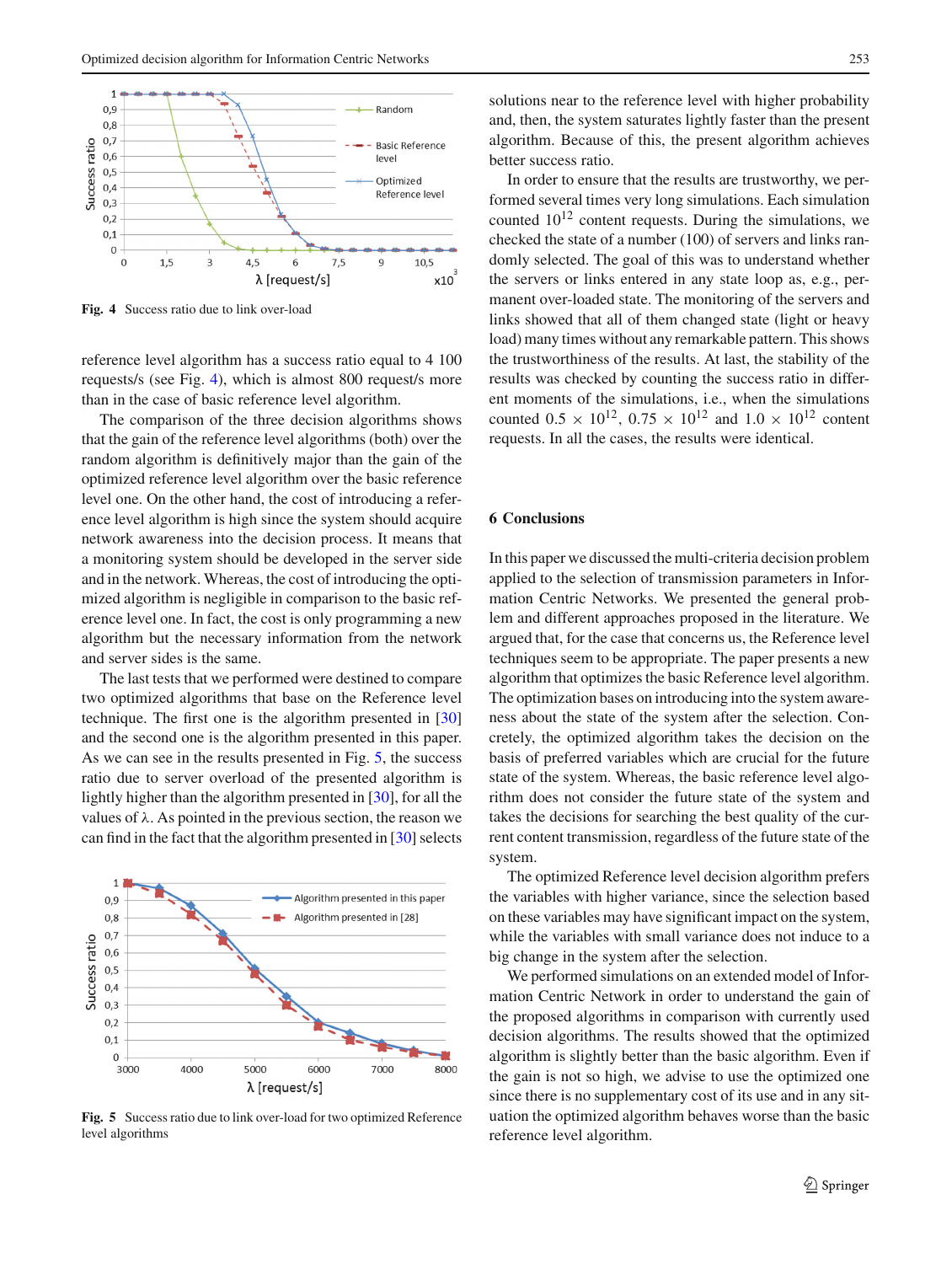

<span id="page-6-1"></span>**Fig. 4** Success ratio due to link over-load

reference level algorithm has a success ratio equal to 4 100 requests/s (see Fig. [4\)](#page-6-1), which is almost 800 request/s more than in the case of basic reference level algorithm.

The comparison of the three decision algorithms shows that the gain of the reference level algorithms (both) over the random algorithm is definitively major than the gain of the optimized reference level algorithm over the basic reference level one. On the other hand, the cost of introducing a reference level algorithm is high since the system should acquire network awareness into the decision process. It means that a monitoring system should be developed in the server side and in the network. Whereas, the cost of introducing the optimized algorithm is negligible in comparison to the basic reference level one. In fact, the cost is only programming a new algorithm but the necessary information from the network and server sides is the same.

The last tests that we performed were destined to compare two optimized algorithms that base on the Reference level technique. The first one is the algorithm presented in [\[30\]](#page-7-27) and the second one is the algorithm presented in this paper. As we can see in the results presented in Fig. [5,](#page-6-2) the success ratio due to server overload of the presented algorithm is lightly higher than the algorithm presented in [\[30\]](#page-7-27), for all the values of  $\lambda$ . As pointed in the previous section, the reason we can find in the fact that the algorithm presented in [\[30\]](#page-7-27) selects



<span id="page-6-2"></span>**Fig. 5** Success ratio due to link over-load for two optimized Reference level algorithms

solutions near to the reference level with higher probability and, then, the system saturates lightly faster than the present algorithm. Because of this, the present algorithm achieves better success ratio.

In order to ensure that the results are trustworthy, we performed several times very long simulations. Each simulation counted  $10^{12}$  content requests. During the simulations, we checked the state of a number (100) of servers and links randomly selected. The goal of this was to understand whether the servers or links entered in any state loop as, e.g., permanent over-loaded state. The monitoring of the servers and links showed that all of them changed state (light or heavy load) many times without any remarkable pattern. This shows the trustworthiness of the results. At last, the stability of the results was checked by counting the success ratio in different moments of the simulations, i.e., when the simulations counted  $0.5 \times 10^{12}$ ,  $0.75 \times 10^{12}$  and  $1.0 \times 10^{12}$  content requests. In all the cases, the results were identical.

## <span id="page-6-0"></span>**6 Conclusions**

In this paper we discussed the multi-criteria decision problem applied to the selection of transmission parameters in Information Centric Networks. We presented the general problem and different approaches proposed in the literature. We argued that, for the case that concerns us, the Reference level techniques seem to be appropriate. The paper presents a new algorithm that optimizes the basic Reference level algorithm. The optimization bases on introducing into the system awareness about the state of the system after the selection. Concretely, the optimized algorithm takes the decision on the basis of preferred variables which are crucial for the future state of the system. Whereas, the basic reference level algorithm does not consider the future state of the system and takes the decisions for searching the best quality of the current content transmission, regardless of the future state of the system.

The optimized Reference level decision algorithm prefers the variables with higher variance, since the selection based on these variables may have significant impact on the system, while the variables with small variance does not induce to a big change in the system after the selection.

We performed simulations on an extended model of Information Centric Network in order to understand the gain of the proposed algorithms in comparison with currently used decision algorithms. The results showed that the optimized algorithm is slightly better than the basic algorithm. Even if the gain is not so high, we advise to use the optimized one since there is no supplementary cost of its use and in any situation the optimized algorithm behaves worse than the basic reference level algorithm.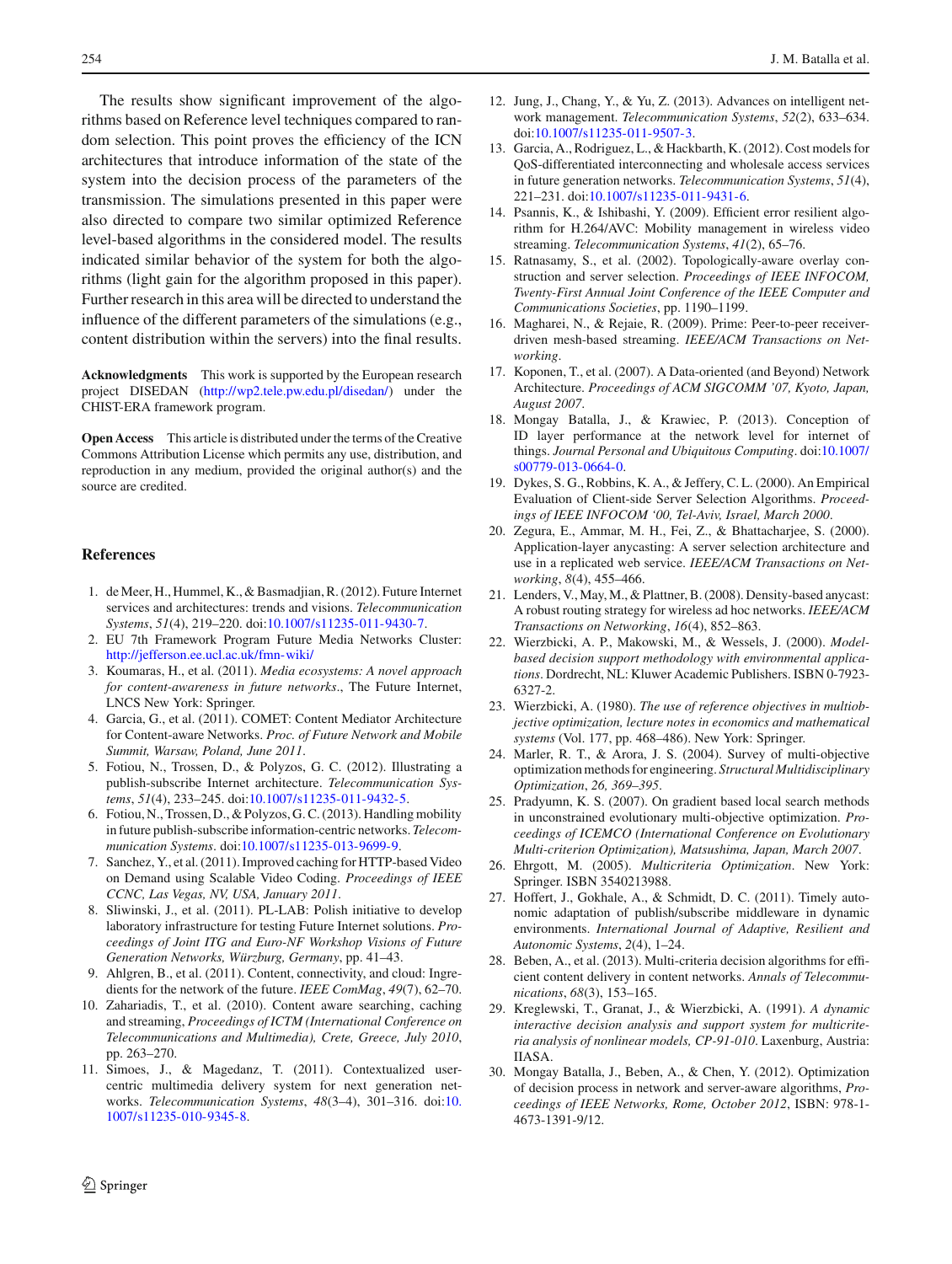The results show significant improvement of the algorithms based on Reference level techniques compared to random selection. This point proves the efficiency of the ICN architectures that introduce information of the state of the system into the decision process of the parameters of the transmission. The simulations presented in this paper were also directed to compare two similar optimized Reference level-based algorithms in the considered model. The results indicated similar behavior of the system for both the algorithms (light gain for the algorithm proposed in this paper). Further research in this area will be directed to understand the influence of the different parameters of the simulations (e.g., content distribution within the servers) into the final results.

**Acknowledgments** This work is supported by the European research project DISEDAN [\(http://wp2.tele.pw.edu.pl/disedan/\)](http://wp2.tele.pw.edu.pl/disedan/) under the CHIST-ERA framework program.

**Open Access** This article is distributed under the terms of the Creative Commons Attribution License which permits any use, distribution, and reproduction in any medium, provided the original author(s) and the source are credited.

## <span id="page-7-0"></span>**References**

- 1. de Meer, H., Hummel, K., & Basmadjian, R. (2012). Future Internet services and architectures: trends and visions. *Telecommunication Systems*, *51*(4), 219–220. doi[:10.1007/s11235-011-9430-7.](http://dx.doi.org/10.1007/s11235-011-9430-7)
- <span id="page-7-1"></span>2. EU 7th Framework Program Future Media Networks Cluster: <http://jefferson.ee.ucl.ac.uk/fmn-wiki/>
- <span id="page-7-2"></span>3. Koumaras, H., et al. (2011). *Media ecosystems: A novel approach for content-awareness in future networks*., The Future Internet, LNCS New York: Springer.
- <span id="page-7-10"></span>4. Garcia, G., et al. (2011). COMET: Content Mediator Architecture for Content-aware Networks. *Proc. of Future Network and Mobile Summit, Warsaw, Poland, June 2011*.
- <span id="page-7-11"></span>5. Fotiou, N., Trossen, D., & Polyzos, G. C. (2012). Illustrating a publish-subscribe Internet architecture. *Telecommunication Systems*, *51*(4), 233–245. doi[:10.1007/s11235-011-9432-5.](http://dx.doi.org/10.1007/s11235-011-9432-5)
- <span id="page-7-12"></span>6. Fotiou, N., Trossen, D., & Polyzos, G. C. (2013). Handling mobility in future publish-subscribe information-centric networks. *Telecommunication Systems*. doi[:10.1007/s11235-013-9699-9.](http://dx.doi.org/10.1007/s11235-013-9699-9)
- 7. Sanchez, Y., et al. (2011). Improved caching for HTTP-based Video on Demand using Scalable Video Coding. *Proceedings of IEEE CCNC, Las Vegas, NV, USA, January 2011*.
- 8. Sliwinski, J., et al. (2011). PL-LAB: Polish initiative to develop laboratory infrastructure for testing Future Internet solutions. *Proceedings of Joint ITG and Euro-NF Workshop Visions of Future Generation Networks, Würzburg, Germany*, pp. 41–43.
- <span id="page-7-13"></span>9. Ahlgren, B., et al. (2011). Content, connectivity, and cloud: Ingredients for the network of the future. *IEEE ComMag*, *49*(7), 62–70.
- <span id="page-7-3"></span>10. Zahariadis, T., et al. (2010). Content aware searching, caching and streaming, *Proceedings of ICTM (International Conference on Telecommunications and Multimedia), Crete, Greece, July 2010*, pp. 263–270.
- <span id="page-7-4"></span>11. Simoes, J., & Magedanz, T. (2011). Contextualized usercentric multimedia delivery system for next generation networks. *Telecommunication Systems*, *48*(3–4), 301–316. doi[:10.](http://dx.doi.org/10.1007/s11235-010-9345-8) [1007/s11235-010-9345-8.](http://dx.doi.org/10.1007/s11235-010-9345-8)
- <span id="page-7-5"></span>12. Jung, J., Chang, Y., & Yu, Z. (2013). Advances on intelligent network management. *Telecommunication Systems*, *52*(2), 633–634. doi[:10.1007/s11235-011-9507-3.](http://dx.doi.org/10.1007/s11235-011-9507-3)
- <span id="page-7-6"></span>13. Garcia, A., Rodriguez, L., & Hackbarth, K. (2012). Cost models for QoS-differentiated interconnecting and wholesale access services in future generation networks. *Telecommunication Systems*, *51*(4), 221–231. doi[:10.1007/s11235-011-9431-6.](http://dx.doi.org/10.1007/s11235-011-9431-6)
- <span id="page-7-7"></span>14. Psannis, K., & Ishibashi, Y. (2009). Efficient error resilient algorithm for H.264/AVC: Mobility management in wireless video streaming. *Telecommunication Systems*, *41*(2), 65–76.
- <span id="page-7-8"></span>15. Ratnasamy, S., et al. (2002). Topologically-aware overlay construction and server selection. *Proceedings of IEEE INFOCOM, Twenty-First Annual Joint Conference of the IEEE Computer and Communications Societies*, pp. 1190–1199.
- <span id="page-7-9"></span>16. Magharei, N., & Rejaie, R. (2009). Prime: Peer-to-peer receiverdriven mesh-based streaming. *IEEE/ACM Transactions on Networking*.
- <span id="page-7-14"></span>17. Koponen, T., et al. (2007). A Data-oriented (and Beyond) Network Architecture. *Proceedings of ACM SIGCOMM '07, Kyoto, Japan, August 2007*.
- <span id="page-7-15"></span>18. Mongay Batalla, J., & Krawiec, P. (2013). Conception of ID layer performance at the network level for internet of things. *Journal Personal and Ubiquitous Computing*. doi[:10.1007/](http://dx.doi.org/10.1007/s00779-013-0664-0) [s00779-013-0664-0.](http://dx.doi.org/10.1007/s00779-013-0664-0)
- <span id="page-7-16"></span>19. Dykes, S. G., Robbins, K. A., & Jeffery, C. L. (2000). An Empirical Evaluation of Client-side Server Selection Algorithms. *Proceedings of IEEE INFOCOM '00, Tel-Aviv, Israel, March 2000*.
- <span id="page-7-17"></span>20. Zegura, E., Ammar, M. H., Fei, Z., & Bhattacharjee, S. (2000). Application-layer anycasting: A server selection architecture and use in a replicated web service. *IEEE/ACM Transactions on Networking*, *8*(4), 455–466.
- <span id="page-7-18"></span>21. Lenders, V., May, M., & Plattner, B. (2008). Density-based anycast: A robust routing strategy for wireless ad hoc networks. *IEEE/ACM Transactions on Networking*, *16*(4), 852–863.
- <span id="page-7-19"></span>22. Wierzbicki, A. P., Makowski, M., & Wessels, J. (2000). *Modelbased decision support methodology with environmental applications*. Dordrecht, NL: Kluwer Academic Publishers. ISBN 0-7923- 6327-2.
- <span id="page-7-20"></span>23. Wierzbicki, A. (1980). *The use of reference objectives in multiobjective optimization, lecture notes in economics and mathematical systems* (Vol. 177, pp. 468–486). New York: Springer.
- <span id="page-7-21"></span>24. Marler, R. T., & Arora, J. S. (2004). Survey of multi-objective optimization methods for engineering. *Structural Multidisciplinary Optimization*, *26, 369–395*.
- <span id="page-7-22"></span>25. Pradyumn, K. S. (2007). On gradient based local search methods in unconstrained evolutionary multi-objective optimization. *Proceedings of ICEMCO (International Conference on Evolutionary Multi-criterion Optimization), Matsushima, Japan, March 2007*.
- <span id="page-7-23"></span>26. Ehrgott, M. (2005). *Multicriteria Optimization*. New York: Springer. ISBN 3540213988.
- <span id="page-7-24"></span>27. Hoffert, J., Gokhale, A., & Schmidt, D. C. (2011). Timely autonomic adaptation of publish/subscribe middleware in dynamic environments. *International Journal of Adaptive, Resilient and Autonomic Systems*, *2*(4), 1–24.
- <span id="page-7-25"></span>28. Beben, A., et al. (2013). Multi-criteria decision algorithms for efficient content delivery in content networks. *Annals of Telecommunications*, *68*(3), 153–165.
- <span id="page-7-26"></span>29. Kreglewski, T., Granat, J., & Wierzbicki, A. (1991). *A dynamic interactive decision analysis and support system for multicriteria analysis of nonlinear models, CP-91-010*. Laxenburg, Austria: IIASA.
- <span id="page-7-27"></span>30. Mongay Batalla, J., Beben, A., & Chen, Y. (2012). Optimization of decision process in network and server-aware algorithms, *Proceedings of IEEE Networks, Rome, October 2012*, ISBN: 978-1- 4673-1391-9/12.